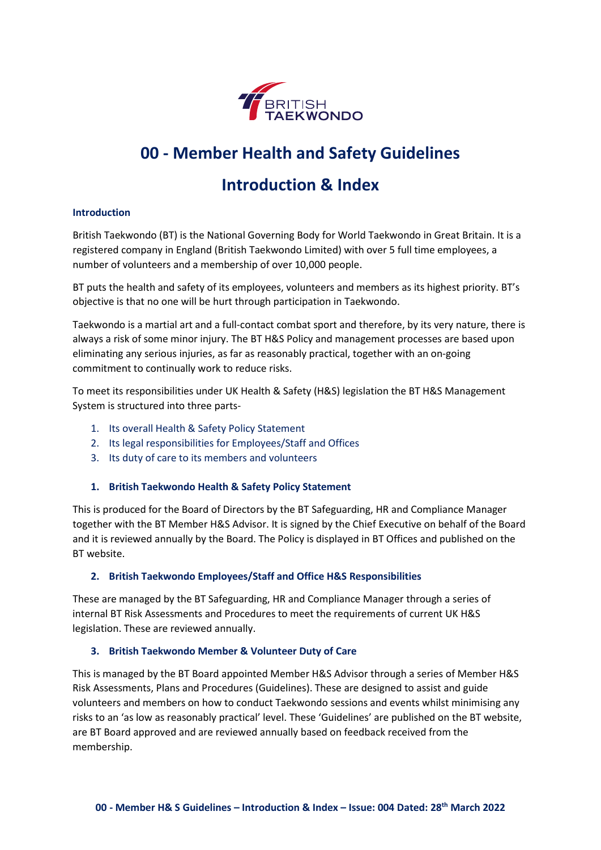

# **00 - Member Health and Safety Guidelines**

# **Introduction & Index**

### **Introduction**

British Taekwondo (BT) is the National Governing Body for World Taekwondo in Great Britain. It is a registered company in England (British Taekwondo Limited) with over 5 full time employees, a number of volunteers and a membership of over 10,000 people.

BT puts the health and safety of its employees, volunteers and members as its highest priority. BT's objective is that no one will be hurt through participation in Taekwondo.

Taekwondo is a martial art and a full-contact combat sport and therefore, by its very nature, there is always a risk of some minor injury. The BT H&S Policy and management processes are based upon eliminating any serious injuries, as far as reasonably practical, together with an on-going commitment to continually work to reduce risks.

To meet its responsibilities under UK Health & Safety (H&S) legislation the BT H&S Management System is structured into three parts-

- 1. Its overall Health & Safety Policy Statement
- 2. Its legal responsibilities for Employees/Staff and Offices
- 3. Its duty of care to its members and volunteers

#### **1. British Taekwondo Health & Safety Policy Statement**

This is produced for the Board of Directors by the BT Safeguarding, HR and Compliance Manager together with the BT Member H&S Advisor. It is signed by the Chief Executive on behalf of the Board and it is reviewed annually by the Board. The Policy is displayed in BT Offices and published on the BT website.

#### **2. British Taekwondo Employees/Staff and Office H&S Responsibilities**

These are managed by the BT Safeguarding, HR and Compliance Manager through a series of internal BT Risk Assessments and Procedures to meet the requirements of current UK H&S legislation. These are reviewed annually.

#### **3. British Taekwondo Member & Volunteer Duty of Care**

This is managed by the BT Board appointed Member H&S Advisor through a series of Member H&S Risk Assessments, Plans and Procedures (Guidelines). These are designed to assist and guide volunteers and members on how to conduct Taekwondo sessions and events whilst minimising any risks to an 'as low as reasonably practical' level. These 'Guidelines' are published on the BT website, are BT Board approved and are reviewed annually based on feedback received from the membership.